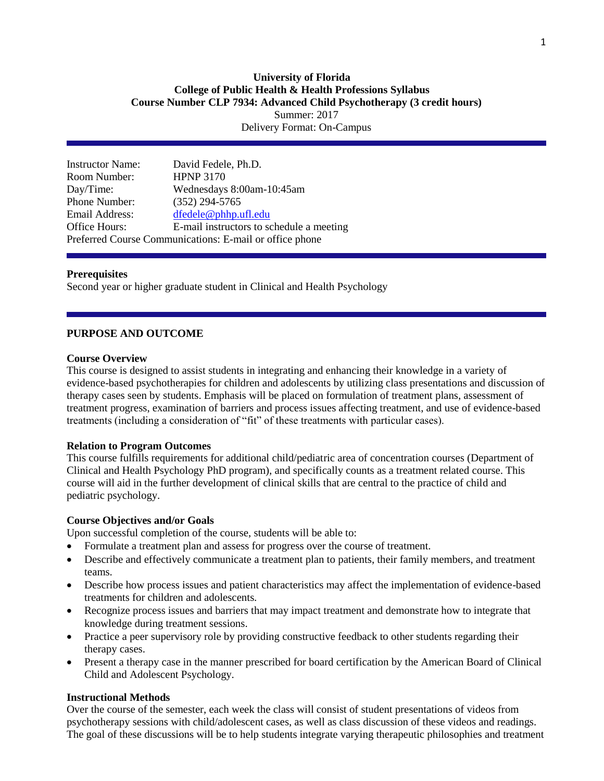# **University of Florida College of Public Health & Health Professions Syllabus Course Number CLP 7934: Advanced Child Psychotherapy (3 credit hours)** Summer: 2017

Delivery Format: On-Campus

| <b>Instructor Name:</b> | David Fedele, Ph.D.                                     |
|-------------------------|---------------------------------------------------------|
| Room Number:            | <b>HPNP 3170</b>                                        |
| Day/Time:               | Wednesdays 8:00am-10:45am                               |
| Phone Number:           | $(352)$ 294-5765                                        |
| Email Address:          | dfedele@phhp.ufl.edu                                    |
| Office Hours:           | E-mail instructors to schedule a meeting                |
|                         | Preferred Course Communications: E-mail or office phone |

### **Prerequisites**

Second year or higher graduate student in Clinical and Health Psychology

### **PURPOSE AND OUTCOME**

### **Course Overview**

This course is designed to assist students in integrating and enhancing their knowledge in a variety of evidence-based psychotherapies for children and adolescents by utilizing class presentations and discussion of therapy cases seen by students. Emphasis will be placed on formulation of treatment plans, assessment of treatment progress, examination of barriers and process issues affecting treatment, and use of evidence-based treatments (including a consideration of "fit" of these treatments with particular cases).

## **Relation to Program Outcomes**

This course fulfills requirements for additional child/pediatric area of concentration courses (Department of Clinical and Health Psychology PhD program), and specifically counts as a treatment related course. This course will aid in the further development of clinical skills that are central to the practice of child and pediatric psychology.

#### **Course Objectives and/or Goals**

Upon successful completion of the course, students will be able to:

- Formulate a treatment plan and assess for progress over the course of treatment.
- Describe and effectively communicate a treatment plan to patients, their family members, and treatment teams.
- Describe how process issues and patient characteristics may affect the implementation of evidence-based treatments for children and adolescents.
- Recognize process issues and barriers that may impact treatment and demonstrate how to integrate that knowledge during treatment sessions.
- Practice a peer supervisory role by providing constructive feedback to other students regarding their therapy cases.
- Present a therapy case in the manner prescribed for board certification by the American Board of Clinical Child and Adolescent Psychology.

#### **Instructional Methods**

Over the course of the semester, each week the class will consist of student presentations of videos from psychotherapy sessions with child/adolescent cases, as well as class discussion of these videos and readings. The goal of these discussions will be to help students integrate varying therapeutic philosophies and treatment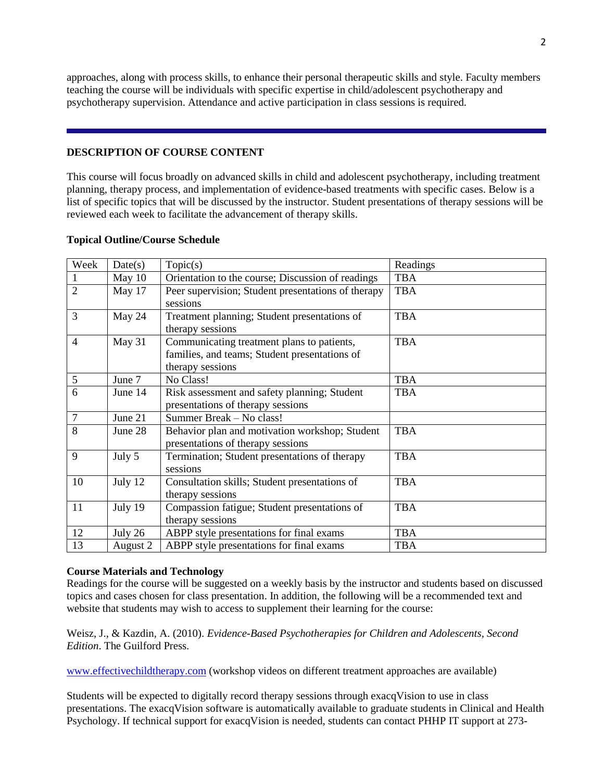approaches, along with process skills, to enhance their personal therapeutic skills and style. Faculty members teaching the course will be individuals with specific expertise in child/adolescent psychotherapy and psychotherapy supervision. Attendance and active participation in class sessions is required.

## **DESCRIPTION OF COURSE CONTENT**

This course will focus broadly on advanced skills in child and adolescent psychotherapy, including treatment planning, therapy process, and implementation of evidence-based treatments with specific cases. Below is a list of specific topics that will be discussed by the instructor. Student presentations of therapy sessions will be reviewed each week to facilitate the advancement of therapy skills.

|  | <b>Topical Outline/Course Schedule</b> |  |
|--|----------------------------------------|--|
|--|----------------------------------------|--|

| Week           | Date(s)  | Topic(s)                                                                                                        | Readings   |
|----------------|----------|-----------------------------------------------------------------------------------------------------------------|------------|
|                | May 10   | Orientation to the course; Discussion of readings                                                               | <b>TBA</b> |
| $\overline{2}$ | May 17   | Peer supervision; Student presentations of therapy<br>sessions                                                  | <b>TBA</b> |
| 3              | May 24   | Treatment planning; Student presentations of<br>therapy sessions                                                | <b>TBA</b> |
| 4              | May 31   | Communicating treatment plans to patients,<br>families, and teams; Student presentations of<br>therapy sessions | <b>TBA</b> |
| 5              | June 7   | No Class!                                                                                                       | <b>TBA</b> |
| 6              | June 14  | Risk assessment and safety planning; Student<br>presentations of therapy sessions                               | <b>TBA</b> |
| $\tau$         | June 21  | Summer Break - No class!                                                                                        |            |
| 8              | June 28  | Behavior plan and motivation workshop; Student<br>presentations of therapy sessions                             | <b>TBA</b> |
| 9              | July 5   | Termination; Student presentations of therapy<br>sessions                                                       | <b>TBA</b> |
| 10             | July 12  | Consultation skills; Student presentations of<br>therapy sessions                                               | <b>TBA</b> |
| 11             | July 19  | Compassion fatigue; Student presentations of<br>therapy sessions                                                | <b>TBA</b> |
| 12             | July 26  | ABPP style presentations for final exams                                                                        | <b>TBA</b> |
| 13             | August 2 | ABPP style presentations for final exams                                                                        | TBA        |

### **Course Materials and Technology**

Readings for the course will be suggested on a weekly basis by the instructor and students based on discussed topics and cases chosen for class presentation. In addition, the following will be a recommended text and website that students may wish to access to supplement their learning for the course:

Weisz, J., & Kazdin, A. (2010). *Evidence-Based Psychotherapies for Children and Adolescents, Second Edition*. The Guilford Press.

[www.effectivechildtherapy.com](http://www.effectivechildtherapy.com/) (workshop videos on different treatment approaches are available)

Students will be expected to digitally record therapy sessions through exacqVision to use in class presentations. The exacqVision software is automatically available to graduate students in Clinical and Health Psychology. If technical support for exacqVision is needed, students can contact PHHP IT support at 273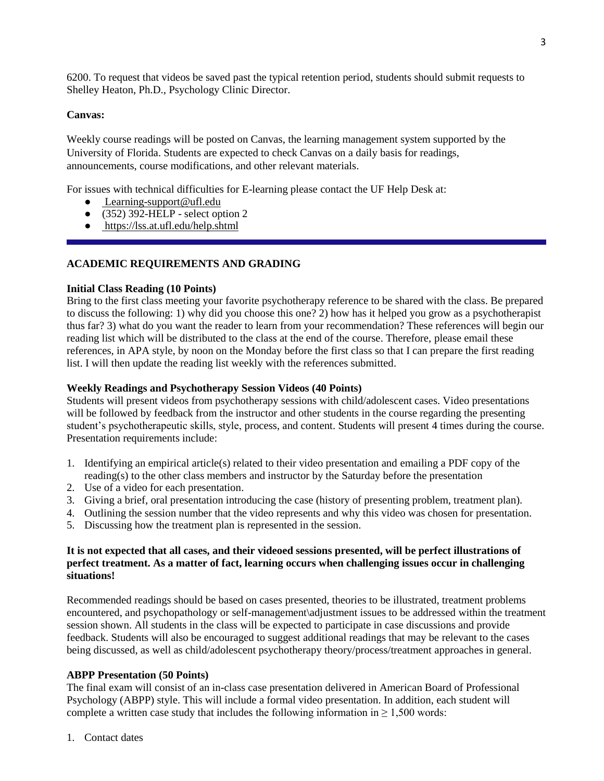6200. To request that videos be saved past the typical retention period, students should submit requests to Shelley Heaton, Ph.D., Psychology Clinic Director.

# **Canvas:**

Weekly course readings will be posted on Canvas, the learning management system supported by the University of Florida. Students are expected to check Canvas on a daily basis for readings, announcements, course modifications, and other relevant materials.

For issues with technical difficulties for E-learning please contact the UF Help Desk at:

- [Learning-support@ufl.edu](file:///C:/C/Users/hackg/Desktop/Learning-support@ufl.edu)
- $\bullet$  (352) 392-HELP select option 2
- <https://lss.at.ufl.edu/help.shtml>

# **ACADEMIC REQUIREMENTS AND GRADING**

## **Initial Class Reading (10 Points)**

Bring to the first class meeting your favorite psychotherapy reference to be shared with the class. Be prepared to discuss the following: 1) why did you choose this one? 2) how has it helped you grow as a psychotherapist thus far? 3) what do you want the reader to learn from your recommendation? These references will begin our reading list which will be distributed to the class at the end of the course. Therefore, please email these references, in APA style, by noon on the Monday before the first class so that I can prepare the first reading list. I will then update the reading list weekly with the references submitted.

## **Weekly Readings and Psychotherapy Session Videos (40 Points)**

Students will present videos from psychotherapy sessions with child/adolescent cases. Video presentations will be followed by feedback from the instructor and other students in the course regarding the presenting student's psychotherapeutic skills, style, process, and content. Students will present 4 times during the course. Presentation requirements include:

- 1. Identifying an empirical article(s) related to their video presentation and emailing a PDF copy of the reading(s) to the other class members and instructor by the Saturday before the presentation
- 2. Use of a video for each presentation.
- 3. Giving a brief, oral presentation introducing the case (history of presenting problem, treatment plan).
- 4. Outlining the session number that the video represents and why this video was chosen for presentation.
- 5. Discussing how the treatment plan is represented in the session.

## **It is not expected that all cases, and their videoed sessions presented, will be perfect illustrations of perfect treatment. As a matter of fact, learning occurs when challenging issues occur in challenging situations!**

Recommended readings should be based on cases presented, theories to be illustrated, treatment problems encountered, and psychopathology or self-management\adjustment issues to be addressed within the treatment session shown. All students in the class will be expected to participate in case discussions and provide feedback. Students will also be encouraged to suggest additional readings that may be relevant to the cases being discussed, as well as child/adolescent psychotherapy theory/process/treatment approaches in general.

## **ABPP Presentation (50 Points)**

The final exam will consist of an in-class case presentation delivered in American Board of Professional Psychology (ABPP) style. This will include a formal video presentation. In addition, each student will complete a written case study that includes the following information in  $\geq 1,500$  words:

1. Contact dates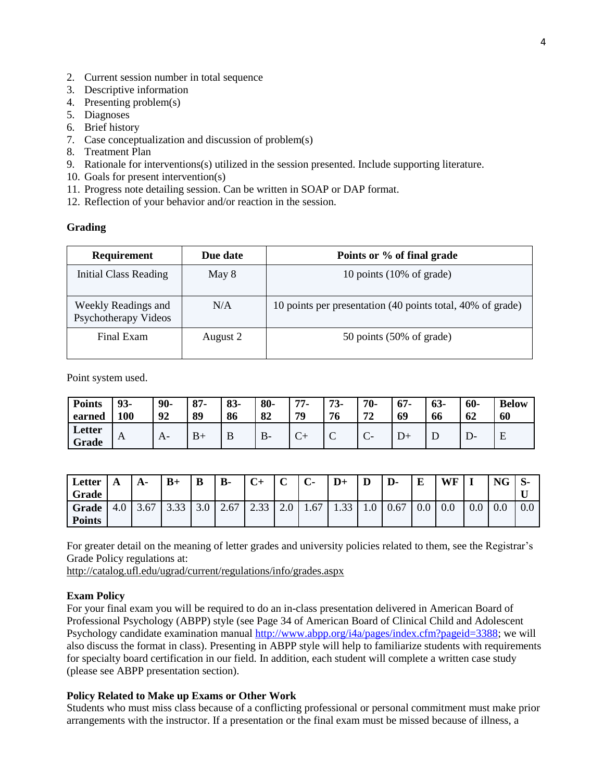- 2. Current session number in total sequence
- 3. Descriptive information
- 4. Presenting problem(s)
- 5. Diagnoses
- 6. Brief history
- 7. Case conceptualization and discussion of problem(s)
- 8. Treatment Plan
- 9. Rationale for interventions(s) utilized in the session presented. Include supporting literature.
- 10. Goals for present intervention(s)
- 11. Progress note detailing session. Can be written in SOAP or DAP format.
- 12. Reflection of your behavior and/or reaction in the session.

## **Grading**

| <b>Requirement</b>                          | Due date | Points or % of final grade                                 |
|---------------------------------------------|----------|------------------------------------------------------------|
| Initial Class Reading                       | May 8    | 10 points $(10\% \text{ of grade})$                        |
| Weekly Readings and<br>Psychotherapy Videos | N/A      | 10 points per presentation (40 points total, 40% of grade) |
| Final Exam                                  | August 2 | 50 points $(50\% \text{ of grade})$                        |

Point system used.

| <b>Points</b>   | 93-          | $90-$          | $87 -$ | $83 -$ | 80- | 77. | $73-$ | 70-                  | $67-$ | $63-$ | 60- | <b>Below</b> |
|-----------------|--------------|----------------|--------|--------|-----|-----|-------|----------------------|-------|-------|-----|--------------|
| earned          | 100          | 92             | 89     | 86     | 82  | 79  | 76    | ワク                   | 69    | 66    | 62  | 60           |
| Letter<br>Grade | $\mathbf{A}$ | A <sub>i</sub> | $B+$   | υ      | В-  | ◡   | ◡     | $\sqrt{ }$<br>$\sim$ |       | ᅩ     | D-  | ∸            |

| Letter        | A   | $A-$ | $B+$ | B   | <b>B-</b> | $C+$ | $\sim$<br>◡ | $\mathbf{C}$ | $D+$ | D   | D-   | E   | WF  |     | <b>NG</b> |     |
|---------------|-----|------|------|-----|-----------|------|-------------|--------------|------|-----|------|-----|-----|-----|-----------|-----|
| Grade         |     |      |      |     |           |      |             |              |      |     |      |     |     |     |           |     |
| <b>Grade</b>  | 4.0 |      | J.JJ | 3.0 | 2.67      | 2.33 | $\sim$ .    | 1.67         | 1.JJ | 1.0 | 0.67 | 0.0 | 0.0 | 0.0 | $0.0\,$   | 0.0 |
| <b>Points</b> |     |      |      |     |           |      |             |              |      |     |      |     |     |     |           |     |

For greater detail on the meaning of letter grades and university policies related to them, see the Registrar's Grade Policy regulations at:

<http://catalog.ufl.edu/ugrad/current/regulations/info/grades.aspx>

#### **Exam Policy**

For your final exam you will be required to do an in-class presentation delivered in American Board of Professional Psychology (ABPP) style (see Page 34 of American Board of Clinical Child and Adolescent Psychology candidate examination manua[l http://www.abpp.org/i4a/pages/index.cfm?pageid=3388;](http://www.abpp.org/i4a/pages/index.cfm?pageid=3388) we will also discuss the format in class). Presenting in ABPP style will help to familiarize students with requirements for specialty board certification in our field. In addition, each student will complete a written case study (please see ABPP presentation section).

### **Policy Related to Make up Exams or Other Work**

Students who must miss class because of a conflicting professional or personal commitment must make prior arrangements with the instructor. If a presentation or the final exam must be missed because of illness, a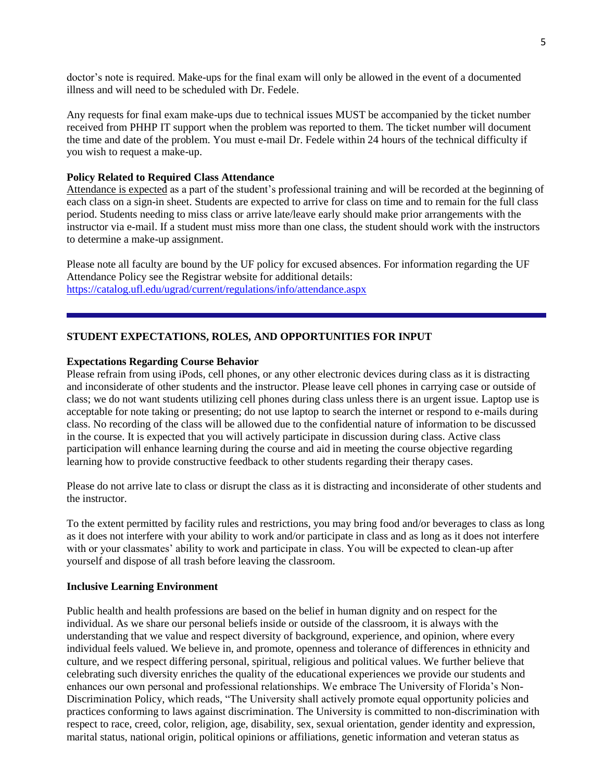doctor's note is required. Make-ups for the final exam will only be allowed in the event of a documented illness and will need to be scheduled with Dr. Fedele.

Any requests for final exam make-ups due to technical issues MUST be accompanied by the ticket number received from PHHP IT support when the problem was reported to them. The ticket number will document the time and date of the problem. You must e-mail Dr. Fedele within 24 hours of the technical difficulty if you wish to request a make-up.

### **Policy Related to Required Class Attendance**

Attendance is expected as a part of the student's professional training and will be recorded at the beginning of each class on a sign-in sheet. Students are expected to arrive for class on time and to remain for the full class period. Students needing to miss class or arrive late/leave early should make prior arrangements with the instructor via e-mail. If a student must miss more than one class, the student should work with the instructors to determine a make-up assignment.

Please note all faculty are bound by the UF policy for excused absences. For information regarding the UF Attendance Policy see the Registrar website for additional details: <https://catalog.ufl.edu/ugrad/current/regulations/info/attendance.aspx>

# **STUDENT EXPECTATIONS, ROLES, AND OPPORTUNITIES FOR INPUT**

### **Expectations Regarding Course Behavior**

Please refrain from using iPods, cell phones, or any other electronic devices during class as it is distracting and inconsiderate of other students and the instructor. Please leave cell phones in carrying case or outside of class; we do not want students utilizing cell phones during class unless there is an urgent issue. Laptop use is acceptable for note taking or presenting; do not use laptop to search the internet or respond to e-mails during class. No recording of the class will be allowed due to the confidential nature of information to be discussed in the course. It is expected that you will actively participate in discussion during class. Active class participation will enhance learning during the course and aid in meeting the course objective regarding learning how to provide constructive feedback to other students regarding their therapy cases.

Please do not arrive late to class or disrupt the class as it is distracting and inconsiderate of other students and the instructor.

To the extent permitted by facility rules and restrictions, you may bring food and/or beverages to class as long as it does not interfere with your ability to work and/or participate in class and as long as it does not interfere with or your classmates' ability to work and participate in class. You will be expected to clean-up after yourself and dispose of all trash before leaving the classroom.

#### **Inclusive Learning Environment**

Public health and health professions are based on the belief in human dignity and on respect for the individual. As we share our personal beliefs inside or outside of the classroom, it is always with the understanding that we value and respect diversity of background, experience, and opinion, where every individual feels valued. We believe in, and promote, openness and tolerance of differences in ethnicity and culture, and we respect differing personal, spiritual, religious and political values. We further believe that celebrating such diversity enriches the quality of the educational experiences we provide our students and enhances our own personal and professional relationships. We embrace The University of Florida's Non-Discrimination Policy, which reads, "The University shall actively promote equal opportunity policies and practices conforming to laws against discrimination. The University is committed to non-discrimination with respect to race, creed, color, religion, age, disability, sex, sexual orientation, gender identity and expression, marital status, national origin, political opinions or affiliations, genetic information and veteran status as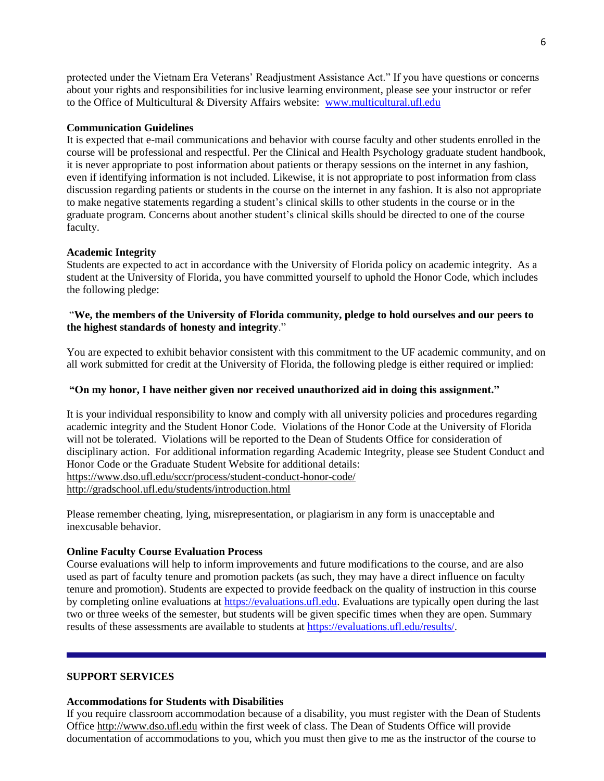protected under the Vietnam Era Veterans' Readjustment Assistance Act." If you have questions or concerns about your rights and responsibilities for inclusive learning environment, please see your instructor or refer to the Office of Multicultural & Diversity Affairs website: [www.multicultural.ufl.edu](http://www.multicultural.ufl.edu/)

### **Communication Guidelines**

It is expected that e-mail communications and behavior with course faculty and other students enrolled in the course will be professional and respectful. Per the Clinical and Health Psychology graduate student handbook, it is never appropriate to post information about patients or therapy sessions on the internet in any fashion, even if identifying information is not included. Likewise, it is not appropriate to post information from class discussion regarding patients or students in the course on the internet in any fashion. It is also not appropriate to make negative statements regarding a student's clinical skills to other students in the course or in the graduate program. Concerns about another student's clinical skills should be directed to one of the course faculty.

## **Academic Integrity**

Students are expected to act in accordance with the University of Florida policy on academic integrity. As a student at the University of Florida, you have committed yourself to uphold the Honor Code, which includes the following pledge:

## "**We, the members of the University of Florida community, pledge to hold ourselves and our peers to the highest standards of honesty and integrity**."

You are expected to exhibit behavior consistent with this commitment to the UF academic community, and on all work submitted for credit at the University of Florida, the following pledge is either required or implied:

## **"On my honor, I have neither given nor received unauthorized aid in doing this assignment."**

It is your individual responsibility to know and comply with all university policies and procedures regarding academic integrity and the Student Honor Code. Violations of the Honor Code at the University of Florida will not be tolerated. Violations will be reported to the Dean of Students Office for consideration of disciplinary action. For additional information regarding Academic Integrity, please see Student Conduct and Honor Code or the Graduate Student Website for additional details: <https://www.dso.ufl.edu/sccr/process/student-conduct-honor-code/> <http://gradschool.ufl.edu/students/introduction.html>

Please remember cheating, lying, misrepresentation, or plagiarism in any form is unacceptable and inexcusable behavior.

### **Online Faculty Course Evaluation Process**

Course evaluations will help to inform improvements and future modifications to the course, and are also used as part of faculty tenure and promotion packets (as such, they may have a direct influence on faculty tenure and promotion). Students are expected to provide feedback on the quality of instruction in this course by completing online evaluations at [https://evaluations.ufl.edu.](https://evaluations.ufl.edu/) Evaluations are typically open during the last two or three weeks of the semester, but students will be given specific times when they are open. Summary results of these assessments are available to students at [https://evaluations.ufl.edu/results/.](https://evaluations.ufl.edu/results/)

### **SUPPORT SERVICES**

### **Accommodations for Students with Disabilities**

If you require classroom accommodation because of a disability, you must register with the Dean of Students Office [http://www.dso.ufl.edu](http://www.dso.ufl.edu/) within the first week of class. The Dean of Students Office will provide documentation of accommodations to you, which you must then give to me as the instructor of the course to